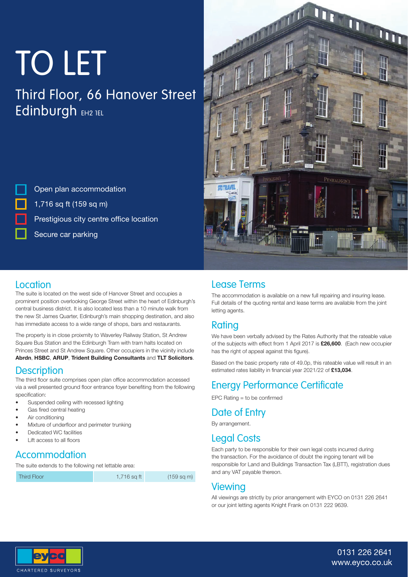# TO LET

### Third Floor, 66 Hanover Street Edinburgh EH2 TEL

Open plan accommodation 1,716 sq ft (159 sq m) Prestigious city centre office location Secure car parking



#### **Location**

The suite is located on the west side of Hanover Street and occupies a prominent position overlooking George Street within the heart of Edinburgh's central business district. It is also located less than a 10 minute walk from the new St James Quarter, Edinburgh's main shopping destination, and also has immediate access to a wide range of shops, bars and restaurants.

The property is in close proixmity to Waverley Railway Station, St Andrew Square Bus Station and the Edinburgh Tram with tram halts located on Princes Street and St Andrew Square. Other occupiers in the vicinity include **Abrdn**, **HSBC**, **ARUP**, **Trident Building Consultants** and **TLT Solicitors**.

#### **Description**

The third floor suite comprises open plan office accommodation accessed via a well presented ground floor entrance foyer benefiting from the following specification:

- Suspended ceiling with recessed lighting
- Gas fired central heating
- Air conditioning
- Mixture of underfloor and perimeter trunking
- Dedicated WC facilities
- **Lift access to all floors**

#### Accommodation

The suite extends to the following net lettable area:

Third Floor 1,716 sq ft (159 sq m)

#### Lease Terms

The accommodation is available on a new full repairing and insuring lease. Full details of the quoting rental and lease terms are available from the joint letting agents.

#### Rating

We have been verbally advised by the Rates Authority that the rateable value of the subjects with effect from 1 April 2017 is **£26,600**. (Each new occupier has the right of appeal against this figure).

Based on the basic property rate of 49.0p, this rateable value will result in an estimated rates liability in financial year 2021/22 of £13,034.

#### Energy Performance Certificate

 $EPC$  Rating  $=$  to be confirmed

#### Date of Entry

By arrangement.

#### Legal Costs

Each party to be responsible for their own legal costs incurred during the transaction. For the avoidance of doubt the ingoing tenant will be responsible for Land and Buildings Transaction Tax (LBTT), registration dues and any VAT payable thereon.

#### **Viewing**

All viewings are strictly by prior arrangement with EYCO on 0131 226 2641 or our joint letting agents Knight Frank on 0131 222 9639.